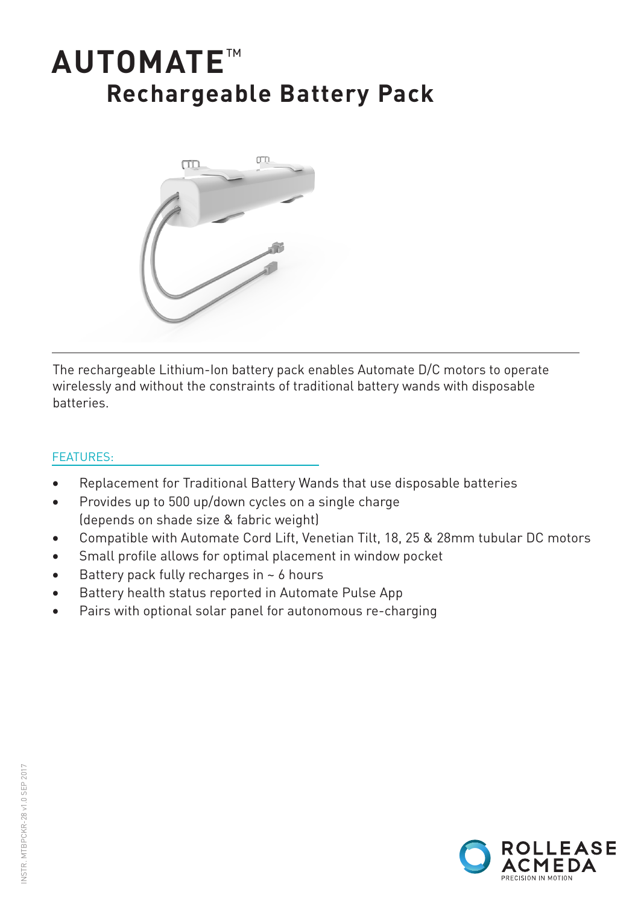# **AUTOMATE**™ **Rechargeable Battery Pack**



The rechargeable Lithium-Ion battery pack enables Automate D/C motors to operate wirelessly and without the constraints of traditional battery wands with disposable batteries.

## FEATURES:

- Replacement for Traditional Battery Wands that use disposable batteries
- Provides up to 500 up/down cycles on a single charge (depends on shade size & fabric weight)
- Compatible with Automate Cord Lift, Venetian Tilt, 18, 25 & 28mm tubular DC motors
- Small profile allows for optimal placement in window pocket
- Battery pack fully recharges in  $\sim$  6 hours
- Battery health status reported in Automate Pulse App
- Pairs with optional solar panel for autonomous re-charging

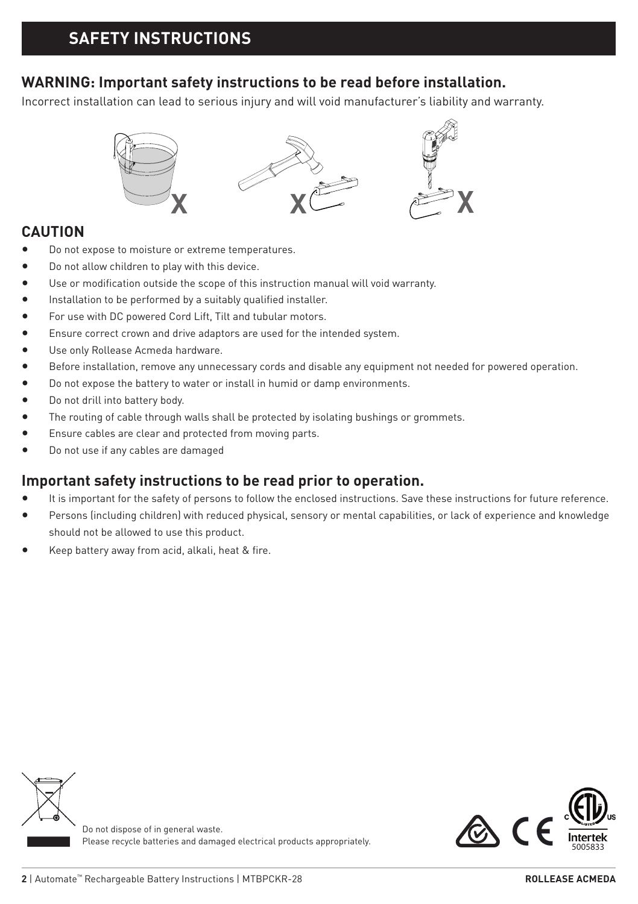## **WARNING: Important safety instructions to be read before installation.**

Incorrect installation can lead to serious injury and will void manufacturer's liability and warranty.



## **CAUTION**

- Do not expose to moisture or extreme temperatures.
- Do not allow children to play with this device.
- Use or modification outside the scope of this instruction manual will void warranty.
- Installation to be performed by a suitably qualified installer.
- For use with DC powered Cord Lift, Tilt and tubular motors.
- Ensure correct crown and drive adaptors are used for the intended system.
- Use only Rollease Acmeda hardware.
- Before installation, remove any unnecessary cords and disable any equipment not needed for powered operation.
- Do not expose the battery to water or install in humid or damp environments.
- Do not drill into battery body.
- The routing of cable through walls shall be protected by isolating bushings or grommets.
- Ensure cables are clear and protected from moving parts.
- Do not use if any cables are damaged

## **Important safety instructions to be read prior to operation.**

- It is important for the safety of persons to follow the enclosed instructions. Save these instructions for future reference.
- Persons (including children) with reduced physical, sensory or mental capabilities, or lack of experience and knowledge should not be allowed to use this product.
- Keep battery away from acid, alkali, heat & fire.





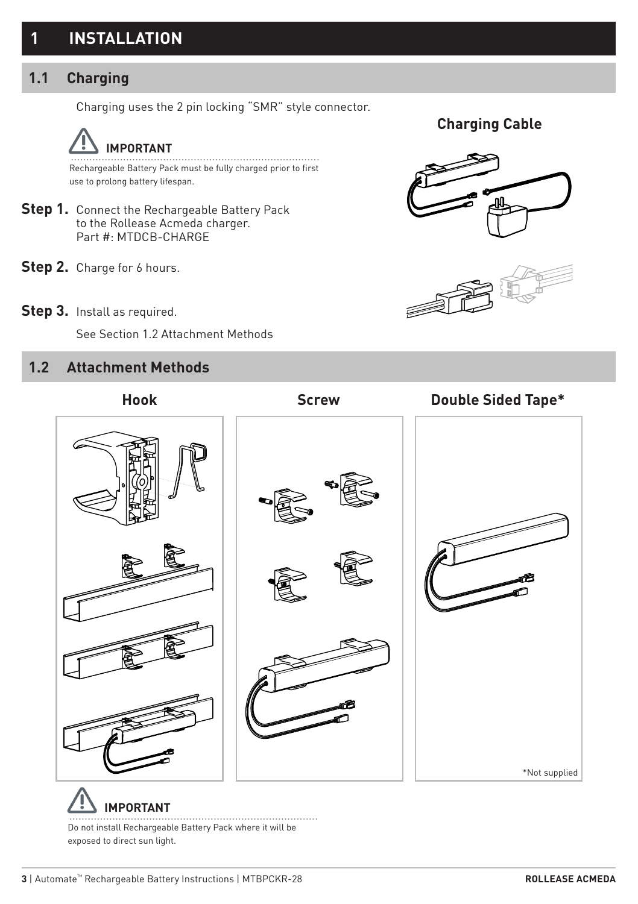## **1 INSTALLATION**

## **1.1 Charging**

Charging uses the 2 pin locking "SMR" style connector.



Rechargeable Battery Pack must be fully charged prior to first use to prolong battery lifespan.

- **Step 1.** Connect the Rechargeable Battery Pack to the Rollease Acmeda charger. Part #: MTDCB-CHARGE
- **Step 2.** Charge for 6 hours.
- Step 3. Install as required.

See Section 1.2 Attachment Methods

## **1.2 Attachment Methods**



**Charging Cable**





Do not install Rechargeable Battery Pack where it will be exposed to direct sun light.